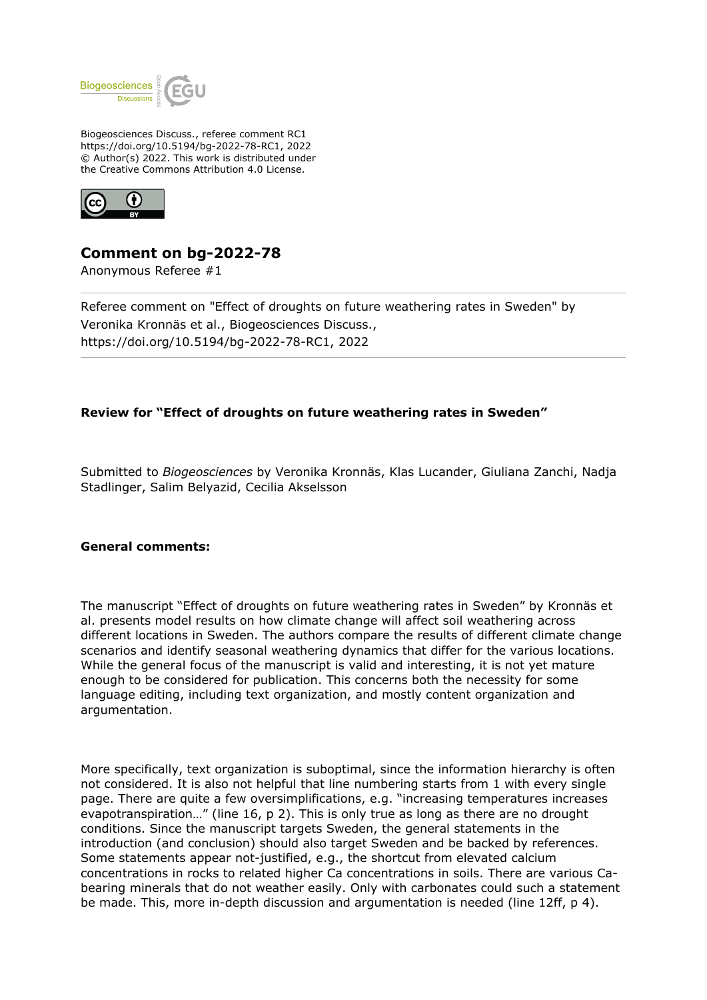

Biogeosciences Discuss., referee comment RC1 https://doi.org/10.5194/bg-2022-78-RC1, 2022 © Author(s) 2022. This work is distributed under the Creative Commons Attribution 4.0 License.



## **Comment on bg-2022-78**

Anonymous Referee #1

Referee comment on "Effect of droughts on future weathering rates in Sweden" by Veronika Kronnäs et al., Biogeosciences Discuss., https://doi.org/10.5194/bg-2022-78-RC1, 2022

## **Review for "Effect of droughts on future weathering rates in Sweden"**

Submitted to *Biogeosciences* by Veronika Kronnäs, Klas Lucander, Giuliana Zanchi, Nadja Stadlinger, Salim Belyazid, Cecilia Akselsson

## **General comments:**

The manuscript "Effect of droughts on future weathering rates in Sweden" by Kronnäs et al. presents model results on how climate change will affect soil weathering across different locations in Sweden. The authors compare the results of different climate change scenarios and identify seasonal weathering dynamics that differ for the various locations. While the general focus of the manuscript is valid and interesting, it is not yet mature enough to be considered for publication. This concerns both the necessity for some language editing, including text organization, and mostly content organization and argumentation.

More specifically, text organization is suboptimal, since the information hierarchy is often not considered. It is also not helpful that line numbering starts from 1 with every single page. There are quite a few oversimplifications, e.g. "increasing temperatures increases evapotranspiration…" (line 16, p 2). This is only true as long as there are no drought conditions. Since the manuscript targets Sweden, the general statements in the introduction (and conclusion) should also target Sweden and be backed by references. Some statements appear not-justified, e.g., the shortcut from elevated calcium concentrations in rocks to related higher Ca concentrations in soils. There are various Cabearing minerals that do not weather easily. Only with carbonates could such a statement be made. This, more in-depth discussion and argumentation is needed (line 12ff, p 4).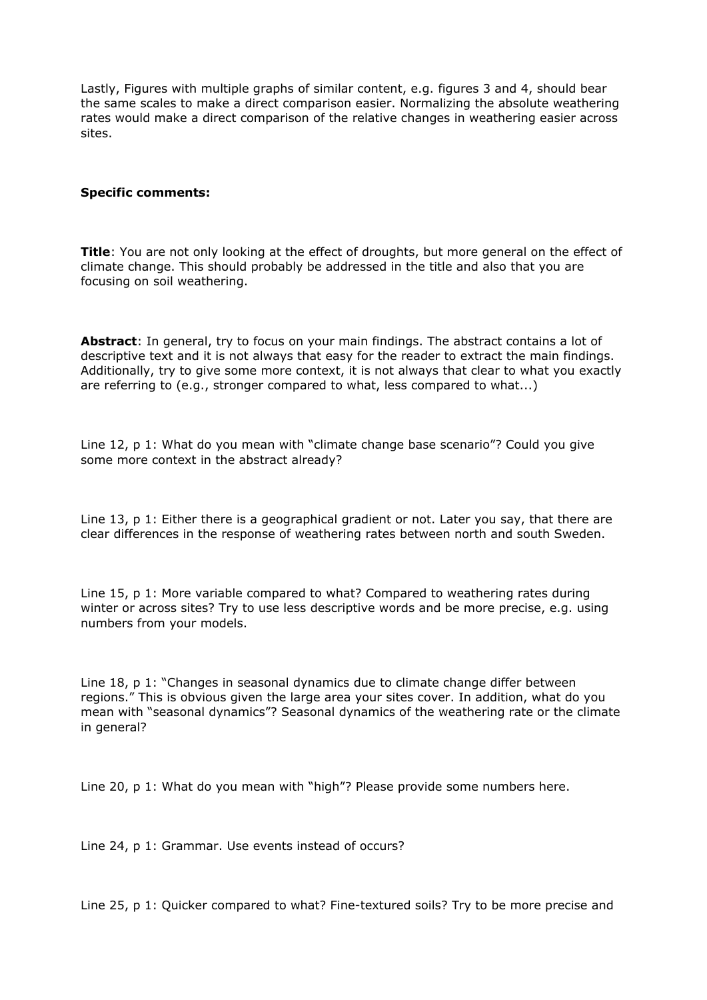Lastly, Figures with multiple graphs of similar content, e.g. figures 3 and 4, should bear the same scales to make a direct comparison easier. Normalizing the absolute weathering rates would make a direct comparison of the relative changes in weathering easier across sites.

## **Specific comments:**

**Title**: You are not only looking at the effect of droughts, but more general on the effect of climate change. This should probably be addressed in the title and also that you are focusing on soil weathering.

**Abstract**: In general, try to focus on your main findings. The abstract contains a lot of descriptive text and it is not always that easy for the reader to extract the main findings. Additionally, try to give some more context, it is not always that clear to what you exactly are referring to (e.g., stronger compared to what, less compared to what...)

Line 12, p 1: What do you mean with "climate change base scenario"? Could you give some more context in the abstract already?

Line 13, p 1: Either there is a geographical gradient or not. Later you say, that there are clear differences in the response of weathering rates between north and south Sweden.

Line 15, p 1: More variable compared to what? Compared to weathering rates during winter or across sites? Try to use less descriptive words and be more precise, e.g. using numbers from your models.

Line 18, p 1: "Changes in seasonal dynamics due to climate change differ between regions." This is obvious given the large area your sites cover. In addition, what do you mean with "seasonal dynamics"? Seasonal dynamics of the weathering rate or the climate in general?

Line 20, p 1: What do you mean with "high"? Please provide some numbers here.

Line 24, p 1: Grammar. Use events instead of occurs?

Line 25, p 1: Quicker compared to what? Fine-textured soils? Try to be more precise and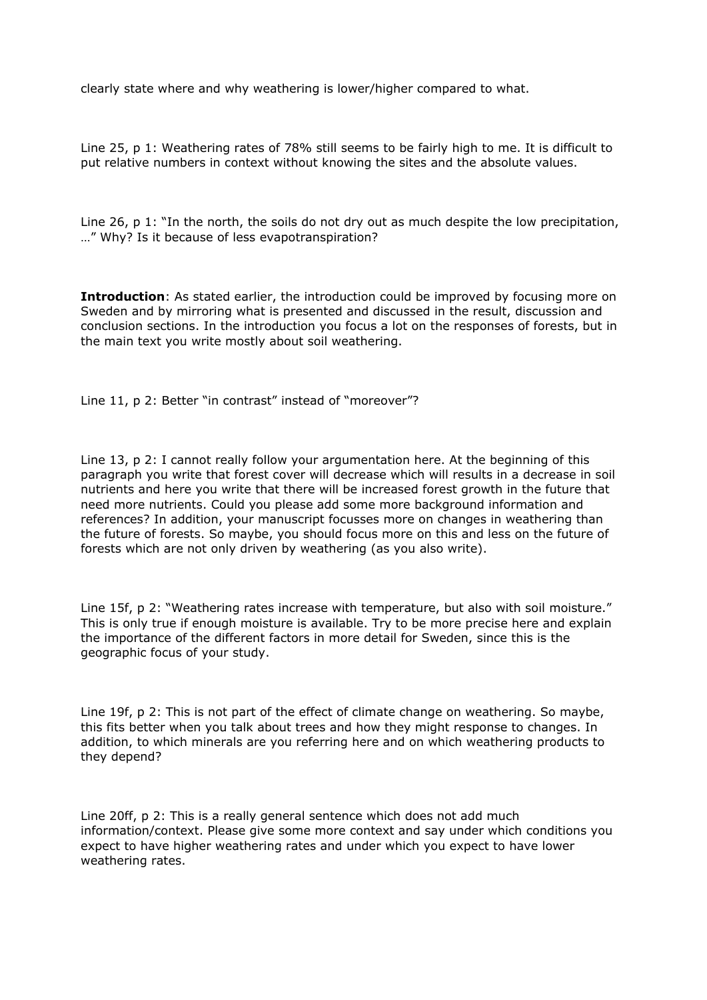clearly state where and why weathering is lower/higher compared to what.

Line 25, p 1: Weathering rates of 78% still seems to be fairly high to me. It is difficult to put relative numbers in context without knowing the sites and the absolute values.

Line 26, p 1: "In the north, the soils do not dry out as much despite the low precipitation, …" Why? Is it because of less evapotranspiration?

**Introduction**: As stated earlier, the introduction could be improved by focusing more on Sweden and by mirroring what is presented and discussed in the result, discussion and conclusion sections. In the introduction you focus a lot on the responses of forests, but in the main text you write mostly about soil weathering.

Line 11, p 2: Better "in contrast" instead of "moreover"?

Line 13, p 2: I cannot really follow your argumentation here. At the beginning of this paragraph you write that forest cover will decrease which will results in a decrease in soil nutrients and here you write that there will be increased forest growth in the future that need more nutrients. Could you please add some more background information and references? In addition, your manuscript focusses more on changes in weathering than the future of forests. So maybe, you should focus more on this and less on the future of forests which are not only driven by weathering (as you also write).

Line 15f, p 2: "Weathering rates increase with temperature, but also with soil moisture." This is only true if enough moisture is available. Try to be more precise here and explain the importance of the different factors in more detail for Sweden, since this is the geographic focus of your study.

Line 19f, p 2: This is not part of the effect of climate change on weathering. So maybe, this fits better when you talk about trees and how they might response to changes. In addition, to which minerals are you referring here and on which weathering products to they depend?

Line 20ff, p 2: This is a really general sentence which does not add much information/context. Please give some more context and say under which conditions you expect to have higher weathering rates and under which you expect to have lower weathering rates.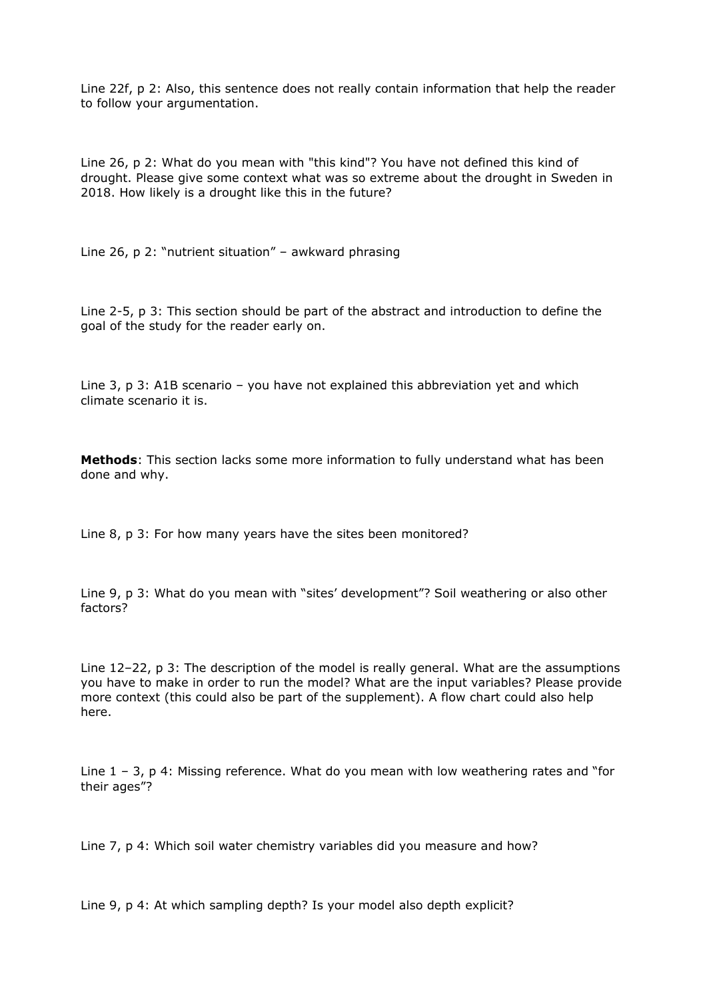Line 22f, p 2: Also, this sentence does not really contain information that help the reader to follow your argumentation.

Line 26, p 2: What do you mean with "this kind"? You have not defined this kind of drought. Please give some context what was so extreme about the drought in Sweden in 2018. How likely is a drought like this in the future?

Line 26, p 2: "nutrient situation" – awkward phrasing

Line 2-5, p 3: This section should be part of the abstract and introduction to define the goal of the study for the reader early on.

Line 3, p 3: A1B scenario – you have not explained this abbreviation yet and which climate scenario it is.

**Methods**: This section lacks some more information to fully understand what has been done and why.

Line 8, p 3: For how many years have the sites been monitored?

Line 9, p 3: What do you mean with "sites' development"? Soil weathering or also other factors?

Line 12–22, p 3: The description of the model is really general. What are the assumptions you have to make in order to run the model? What are the input variables? Please provide more context (this could also be part of the supplement). A flow chart could also help here.

Line  $1 - 3$ , p 4: Missing reference. What do you mean with low weathering rates and "for their ages"?

Line 7, p 4: Which soil water chemistry variables did you measure and how?

Line 9, p 4: At which sampling depth? Is your model also depth explicit?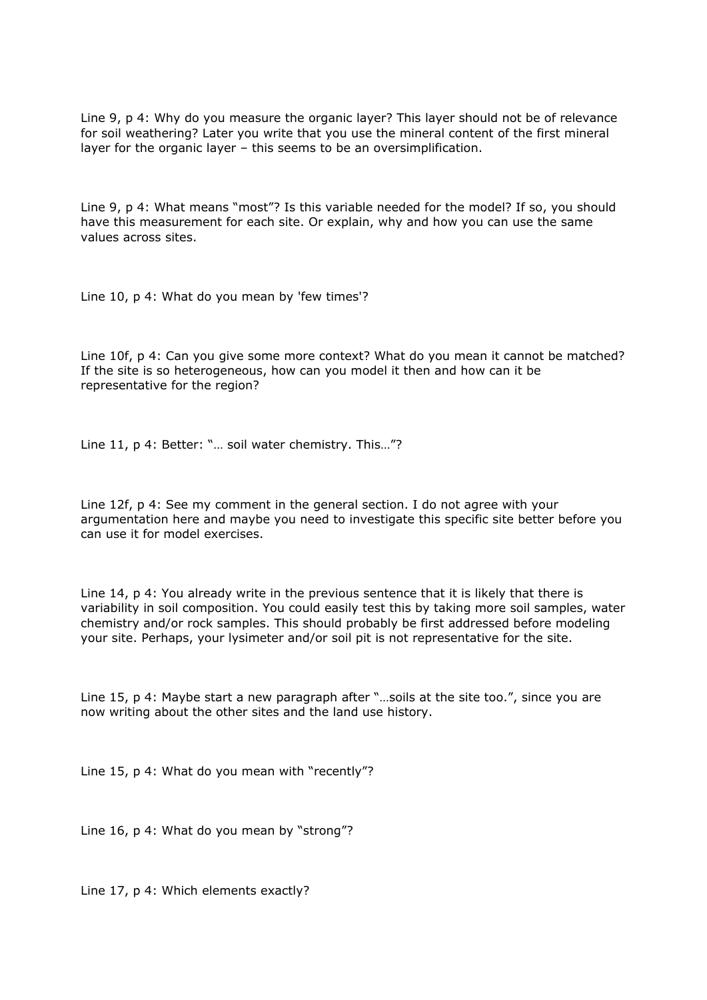Line 9, p 4: Why do you measure the organic layer? This layer should not be of relevance for soil weathering? Later you write that you use the mineral content of the first mineral layer for the organic layer – this seems to be an oversimplification.

Line 9, p 4: What means "most"? Is this variable needed for the model? If so, you should have this measurement for each site. Or explain, why and how you can use the same values across sites.

Line 10, p 4: What do you mean by 'few times'?

Line 10f, p 4: Can you give some more context? What do you mean it cannot be matched? If the site is so heterogeneous, how can you model it then and how can it be representative for the region?

Line 11, p 4: Better: "… soil water chemistry. This…"?

Line 12f, p 4: See my comment in the general section. I do not agree with your argumentation here and maybe you need to investigate this specific site better before you can use it for model exercises.

Line 14, p 4: You already write in the previous sentence that it is likely that there is variability in soil composition. You could easily test this by taking more soil samples, water chemistry and/or rock samples. This should probably be first addressed before modeling your site. Perhaps, your lysimeter and/or soil pit is not representative for the site.

Line 15, p 4: Maybe start a new paragraph after "…soils at the site too.", since you are now writing about the other sites and the land use history.

Line 15, p 4: What do you mean with "recently"?

Line 16, p 4: What do you mean by "strong"?

Line 17, p 4: Which elements exactly?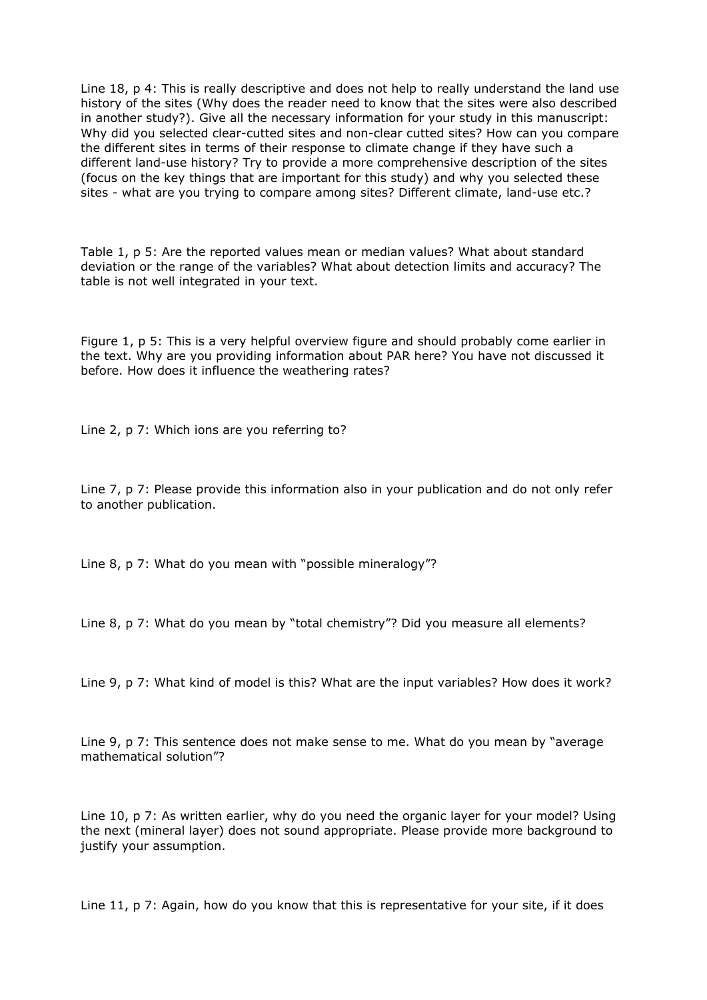Line 18, p 4: This is really descriptive and does not help to really understand the land use history of the sites (Why does the reader need to know that the sites were also described in another study?). Give all the necessary information for your study in this manuscript: Why did you selected clear-cutted sites and non-clear cutted sites? How can you compare the different sites in terms of their response to climate change if they have such a different land-use history? Try to provide a more comprehensive description of the sites (focus on the key things that are important for this study) and why you selected these sites - what are you trying to compare among sites? Different climate, land-use etc.?

Table 1, p 5: Are the reported values mean or median values? What about standard deviation or the range of the variables? What about detection limits and accuracy? The table is not well integrated in your text.

Figure 1, p 5: This is a very helpful overview figure and should probably come earlier in the text. Why are you providing information about PAR here? You have not discussed it before. How does it influence the weathering rates?

Line 2, p 7: Which ions are you referring to?

Line 7, p 7: Please provide this information also in your publication and do not only refer to another publication.

Line 8, p 7: What do you mean with "possible mineralogy"?

Line 8, p 7: What do you mean by "total chemistry"? Did you measure all elements?

Line 9, p 7: What kind of model is this? What are the input variables? How does it work?

Line 9, p 7: This sentence does not make sense to me. What do you mean by "average mathematical solution"?

Line 10, p 7: As written earlier, why do you need the organic layer for your model? Using the next (mineral layer) does not sound appropriate. Please provide more background to justify your assumption.

Line 11, p 7: Again, how do you know that this is representative for your site, if it does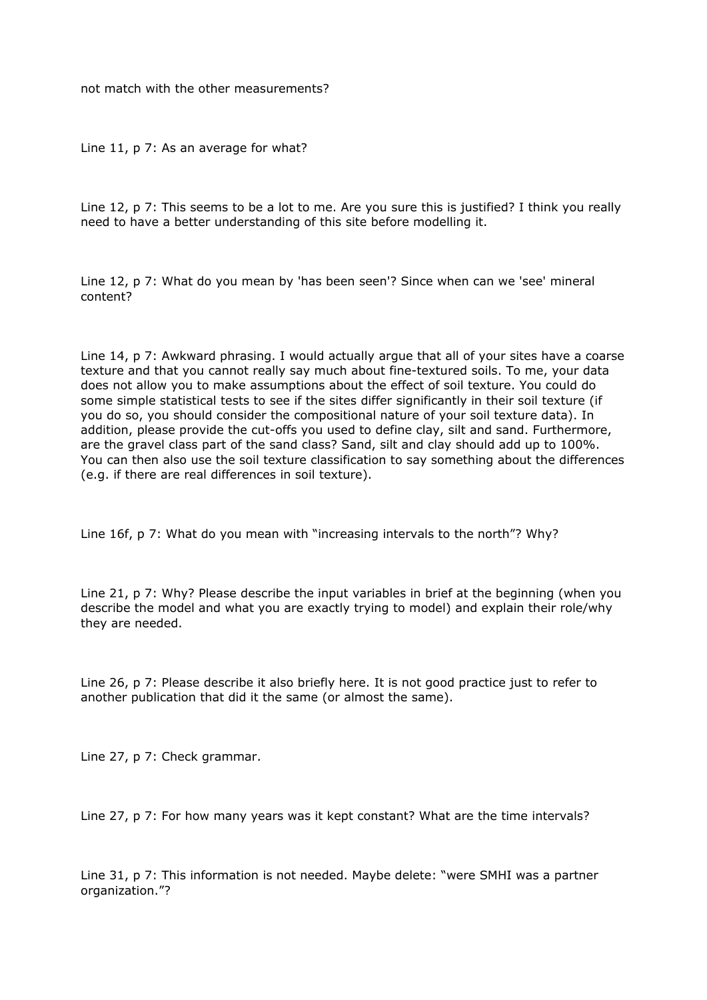not match with the other measurements?

Line 11, p 7: As an average for what?

Line 12, p 7: This seems to be a lot to me. Are you sure this is justified? I think you really need to have a better understanding of this site before modelling it.

Line 12, p 7: What do you mean by 'has been seen'? Since when can we 'see' mineral content?

Line 14, p 7: Awkward phrasing. I would actually argue that all of your sites have a coarse texture and that you cannot really say much about fine-textured soils. To me, your data does not allow you to make assumptions about the effect of soil texture. You could do some simple statistical tests to see if the sites differ significantly in their soil texture (if you do so, you should consider the compositional nature of your soil texture data). In addition, please provide the cut-offs you used to define clay, silt and sand. Furthermore, are the gravel class part of the sand class? Sand, silt and clay should add up to 100%. You can then also use the soil texture classification to say something about the differences (e.g. if there are real differences in soil texture).

Line 16f, p 7: What do you mean with "increasing intervals to the north"? Why?

Line 21, p 7: Why? Please describe the input variables in brief at the beginning (when you describe the model and what you are exactly trying to model) and explain their role/why they are needed.

Line 26, p 7: Please describe it also briefly here. It is not good practice just to refer to another publication that did it the same (or almost the same).

Line 27, p 7: Check grammar.

Line 27, p 7: For how many years was it kept constant? What are the time intervals?

Line 31, p 7: This information is not needed. Maybe delete: "were SMHI was a partner organization."?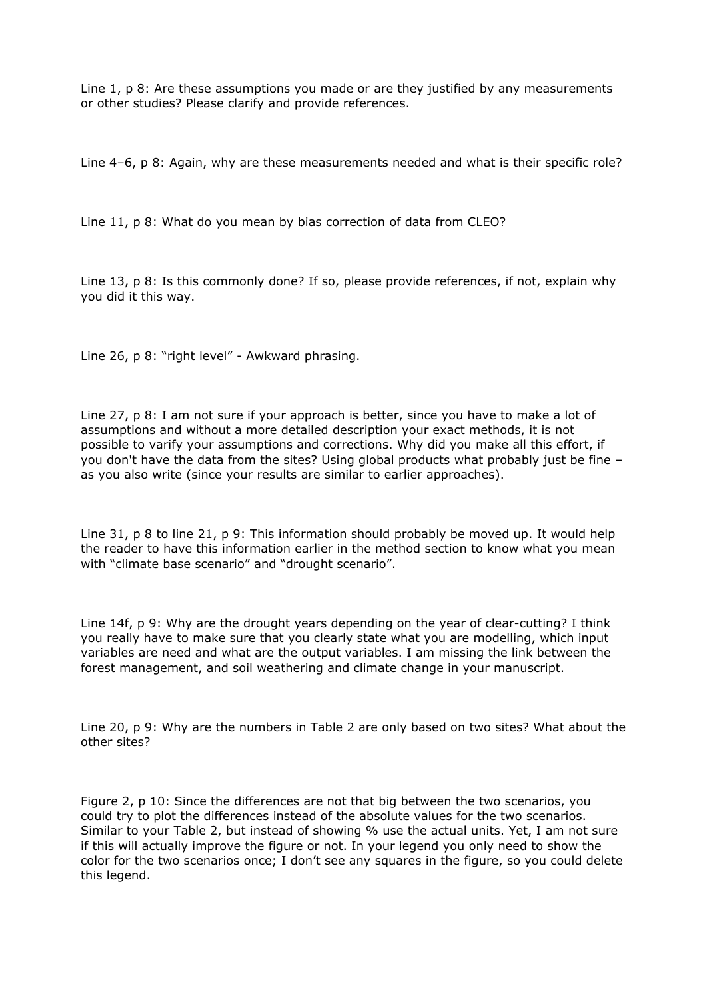Line 1, p 8: Are these assumptions you made or are they justified by any measurements or other studies? Please clarify and provide references.

Line 4–6, p 8: Again, why are these measurements needed and what is their specific role?

Line 11, p 8: What do you mean by bias correction of data from CLEO?

Line 13, p 8: Is this commonly done? If so, please provide references, if not, explain why you did it this way.

Line 26, p 8: "right level" - Awkward phrasing.

Line 27, p 8: I am not sure if your approach is better, since you have to make a lot of assumptions and without a more detailed description your exact methods, it is not possible to varify your assumptions and corrections. Why did you make all this effort, if you don't have the data from the sites? Using global products what probably just be fine – as you also write (since your results are similar to earlier approaches).

Line 31, p 8 to line 21, p 9: This information should probably be moved up. It would help the reader to have this information earlier in the method section to know what you mean with "climate base scenario" and "drought scenario".

Line 14f, p 9: Why are the drought years depending on the year of clear-cutting? I think you really have to make sure that you clearly state what you are modelling, which input variables are need and what are the output variables. I am missing the link between the forest management, and soil weathering and climate change in your manuscript.

Line 20, p 9: Why are the numbers in Table 2 are only based on two sites? What about the other sites?

Figure 2, p 10: Since the differences are not that big between the two scenarios, you could try to plot the differences instead of the absolute values for the two scenarios. Similar to your Table 2, but instead of showing % use the actual units. Yet, I am not sure if this will actually improve the figure or not. In your legend you only need to show the color for the two scenarios once; I don't see any squares in the figure, so you could delete this legend.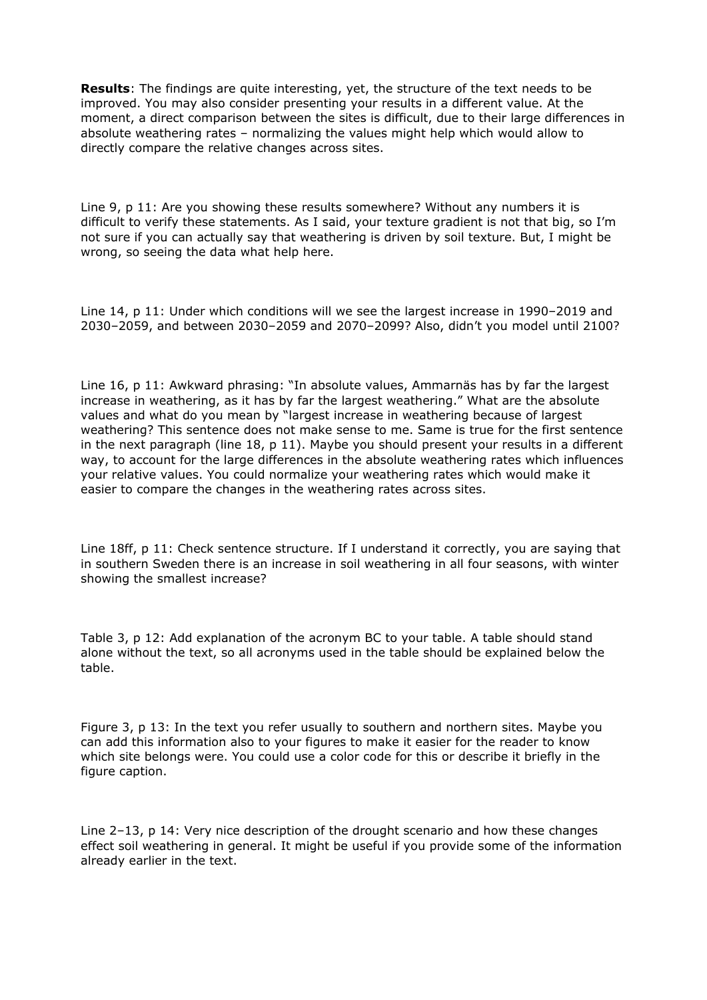**Results**: The findings are quite interesting, yet, the structure of the text needs to be improved. You may also consider presenting your results in a different value. At the moment, a direct comparison between the sites is difficult, due to their large differences in absolute weathering rates – normalizing the values might help which would allow to directly compare the relative changes across sites.

Line 9, p 11: Are you showing these results somewhere? Without any numbers it is difficult to verify these statements. As I said, your texture gradient is not that big, so I'm not sure if you can actually say that weathering is driven by soil texture. But, I might be wrong, so seeing the data what help here.

Line 14, p 11: Under which conditions will we see the largest increase in 1990–2019 and 2030–2059, and between 2030–2059 and 2070–2099? Also, didn't you model until 2100?

Line 16, p 11: Awkward phrasing: "In absolute values, Ammarnäs has by far the largest increase in weathering, as it has by far the largest weathering." What are the absolute values and what do you mean by "largest increase in weathering because of largest weathering? This sentence does not make sense to me. Same is true for the first sentence in the next paragraph (line 18, p 11). Maybe you should present your results in a different way, to account for the large differences in the absolute weathering rates which influences your relative values. You could normalize your weathering rates which would make it easier to compare the changes in the weathering rates across sites.

Line 18ff, p 11: Check sentence structure. If I understand it correctly, you are saying that in southern Sweden there is an increase in soil weathering in all four seasons, with winter showing the smallest increase?

Table 3, p 12: Add explanation of the acronym BC to your table. A table should stand alone without the text, so all acronyms used in the table should be explained below the table.

Figure 3, p 13: In the text you refer usually to southern and northern sites. Maybe you can add this information also to your figures to make it easier for the reader to know which site belongs were. You could use a color code for this or describe it briefly in the figure caption.

Line 2–13, p 14: Very nice description of the drought scenario and how these changes effect soil weathering in general. It might be useful if you provide some of the information already earlier in the text.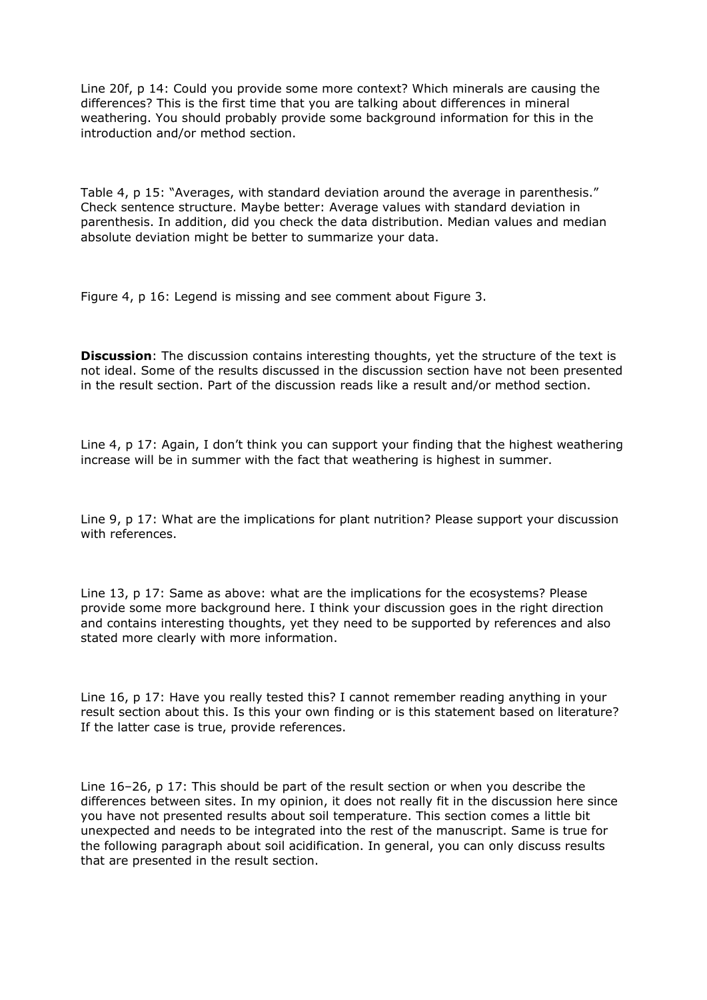Line 20f, p 14: Could you provide some more context? Which minerals are causing the differences? This is the first time that you are talking about differences in mineral weathering. You should probably provide some background information for this in the introduction and/or method section.

Table 4, p 15: "Averages, with standard deviation around the average in parenthesis." Check sentence structure. Maybe better: Average values with standard deviation in parenthesis. In addition, did you check the data distribution. Median values and median absolute deviation might be better to summarize your data.

Figure 4, p 16: Legend is missing and see comment about Figure 3.

**Discussion**: The discussion contains interesting thoughts, yet the structure of the text is not ideal. Some of the results discussed in the discussion section have not been presented in the result section. Part of the discussion reads like a result and/or method section.

Line 4, p 17: Again, I don't think you can support your finding that the highest weathering increase will be in summer with the fact that weathering is highest in summer.

Line 9, p 17: What are the implications for plant nutrition? Please support your discussion with references.

Line 13, p 17: Same as above: what are the implications for the ecosystems? Please provide some more background here. I think your discussion goes in the right direction and contains interesting thoughts, yet they need to be supported by references and also stated more clearly with more information.

Line 16, p 17: Have you really tested this? I cannot remember reading anything in your result section about this. Is this your own finding or is this statement based on literature? If the latter case is true, provide references.

Line 16–26, p 17: This should be part of the result section or when you describe the differences between sites. In my opinion, it does not really fit in the discussion here since you have not presented results about soil temperature. This section comes a little bit unexpected and needs to be integrated into the rest of the manuscript. Same is true for the following paragraph about soil acidification. In general, you can only discuss results that are presented in the result section.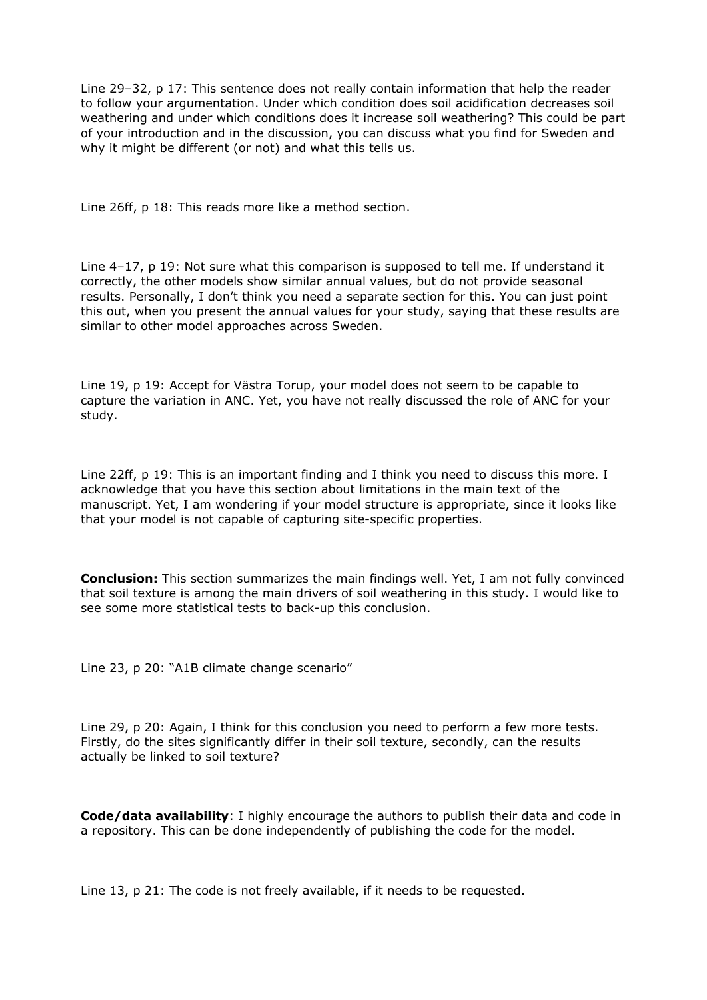Line 29–32, p 17: This sentence does not really contain information that help the reader to follow your argumentation. Under which condition does soil acidification decreases soil weathering and under which conditions does it increase soil weathering? This could be part of your introduction and in the discussion, you can discuss what you find for Sweden and why it might be different (or not) and what this tells us.

Line 26ff, p 18: This reads more like a method section.

Line 4–17, p 19: Not sure what this comparison is supposed to tell me. If understand it correctly, the other models show similar annual values, but do not provide seasonal results. Personally, I don't think you need a separate section for this. You can just point this out, when you present the annual values for your study, saying that these results are similar to other model approaches across Sweden.

Line 19, p 19: Accept for Västra Torup, your model does not seem to be capable to capture the variation in ANC. Yet, you have not really discussed the role of ANC for your study.

Line 22ff, p 19: This is an important finding and I think you need to discuss this more. I acknowledge that you have this section about limitations in the main text of the manuscript. Yet, I am wondering if your model structure is appropriate, since it looks like that your model is not capable of capturing site-specific properties.

**Conclusion:** This section summarizes the main findings well. Yet, I am not fully convinced that soil texture is among the main drivers of soil weathering in this study. I would like to see some more statistical tests to back-up this conclusion.

Line 23, p 20: "A1B climate change scenario"

Line 29, p 20: Again, I think for this conclusion you need to perform a few more tests. Firstly, do the sites significantly differ in their soil texture, secondly, can the results actually be linked to soil texture?

**Code/data availability**: I highly encourage the authors to publish their data and code in a repository. This can be done independently of publishing the code for the model.

Line 13, p 21: The code is not freely available, if it needs to be requested.